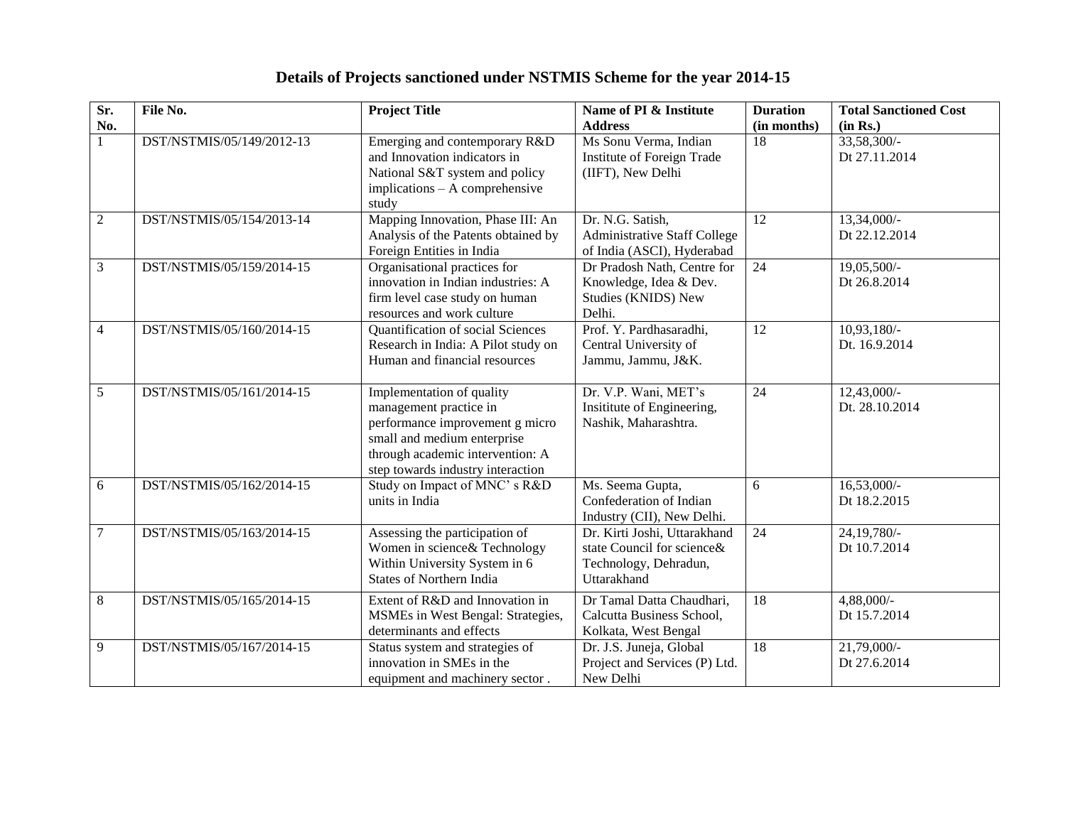| Details of Projects sanctioned under NSTMIS Scheme for the year 2014-15 |  |  |
|-------------------------------------------------------------------------|--|--|
|                                                                         |  |  |

| Sr.             | File No.                  | <b>Project Title</b>                | Name of PI & Institute              | <b>Duration</b> | <b>Total Sanctioned Cost</b> |
|-----------------|---------------------------|-------------------------------------|-------------------------------------|-----------------|------------------------------|
| No.             |                           |                                     | <b>Address</b>                      | (in months)     | (in Rs.)                     |
| 1               | DST/NSTMIS/05/149/2012-13 | Emerging and contemporary R&D       | Ms Sonu Verma, Indian               | $\overline{18}$ | 33,58,300/-                  |
|                 |                           | and Innovation indicators in        | Institute of Foreign Trade          |                 | Dt 27.11.2014                |
|                 |                           | National S&T system and policy      | (IIFT), New Delhi                   |                 |                              |
|                 |                           | implications - A comprehensive      |                                     |                 |                              |
|                 |                           | study                               |                                     |                 |                              |
| $\overline{2}$  | DST/NSTMIS/05/154/2013-14 | Mapping Innovation, Phase III: An   | Dr. N.G. Satish,                    | 12              | 13,34,000/-                  |
|                 |                           | Analysis of the Patents obtained by | <b>Administrative Staff College</b> |                 | Dt 22.12.2014                |
|                 |                           | Foreign Entities in India           | of India (ASCI), Hyderabad          |                 |                              |
| $\overline{3}$  | DST/NSTMIS/05/159/2014-15 | Organisational practices for        | Dr Pradosh Nath, Centre for         | 24              | 19,05,500/-                  |
|                 |                           | innovation in Indian industries: A  | Knowledge, Idea & Dev.              |                 | Dt 26.8.2014                 |
|                 |                           | firm level case study on human      | Studies (KNIDS) New                 |                 |                              |
|                 |                           | resources and work culture          | Delhi.                              |                 |                              |
| $\overline{4}$  | DST/NSTMIS/05/160/2014-15 | Quantification of social Sciences   | Prof. Y. Pardhasaradhi,             | 12              | 10,93,180/-                  |
|                 |                           | Research in India: A Pilot study on | Central University of               |                 | Dt. 16.9.2014                |
|                 |                           | Human and financial resources       | Jammu, Jammu, J&K.                  |                 |                              |
|                 |                           |                                     |                                     |                 |                              |
| 5               | DST/NSTMIS/05/161/2014-15 | Implementation of quality           | Dr. V.P. Wani, MET's                | 24              | 12,43,000/-                  |
|                 |                           | management practice in              | Insititute of Engineering,          |                 | Dt. 28.10.2014               |
|                 |                           | performance improvement g micro     | Nashik, Maharashtra.                |                 |                              |
|                 |                           | small and medium enterprise         |                                     |                 |                              |
|                 |                           | through academic intervention: A    |                                     |                 |                              |
|                 |                           | step towards industry interaction   |                                     |                 |                              |
| 6               | DST/NSTMIS/05/162/2014-15 | Study on Impact of MNC's R&D        | Ms. Seema Gupta,                    | 6               | $16,53,000/-$                |
|                 |                           | units in India                      | Confederation of Indian             |                 | Dt 18.2.2015                 |
|                 |                           |                                     | Industry (CII), New Delhi.          |                 |                              |
| $7\phantom{.0}$ | DST/NSTMIS/05/163/2014-15 | Assessing the participation of      | Dr. Kirti Joshi, Uttarakhand        | 24              | 24, 19, 780/-                |
|                 |                           | Women in science& Technology        | state Council for science&          |                 | Dt 10.7.2014                 |
|                 |                           | Within University System in 6       | Technology, Dehradun,               |                 |                              |
|                 |                           | <b>States of Northern India</b>     | Uttarakhand                         |                 |                              |
| 8               | DST/NSTMIS/05/165/2014-15 | Extent of R&D and Innovation in     | Dr Tamal Datta Chaudhari,           | 18              | $4,88,000/$ -                |
|                 |                           | MSMEs in West Bengal: Strategies,   | Calcutta Business School,           |                 | Dt 15.7.2014                 |
|                 |                           | determinants and effects            | Kolkata, West Bengal                |                 |                              |
| 9               | DST/NSTMIS/05/167/2014-15 | Status system and strategies of     | Dr. J.S. Juneja, Global             | 18              | 21,79,000/-                  |
|                 |                           | innovation in SMEs in the           | Project and Services (P) Ltd.       |                 | Dt 27.6.2014                 |
|                 |                           | equipment and machinery sector.     | New Delhi                           |                 |                              |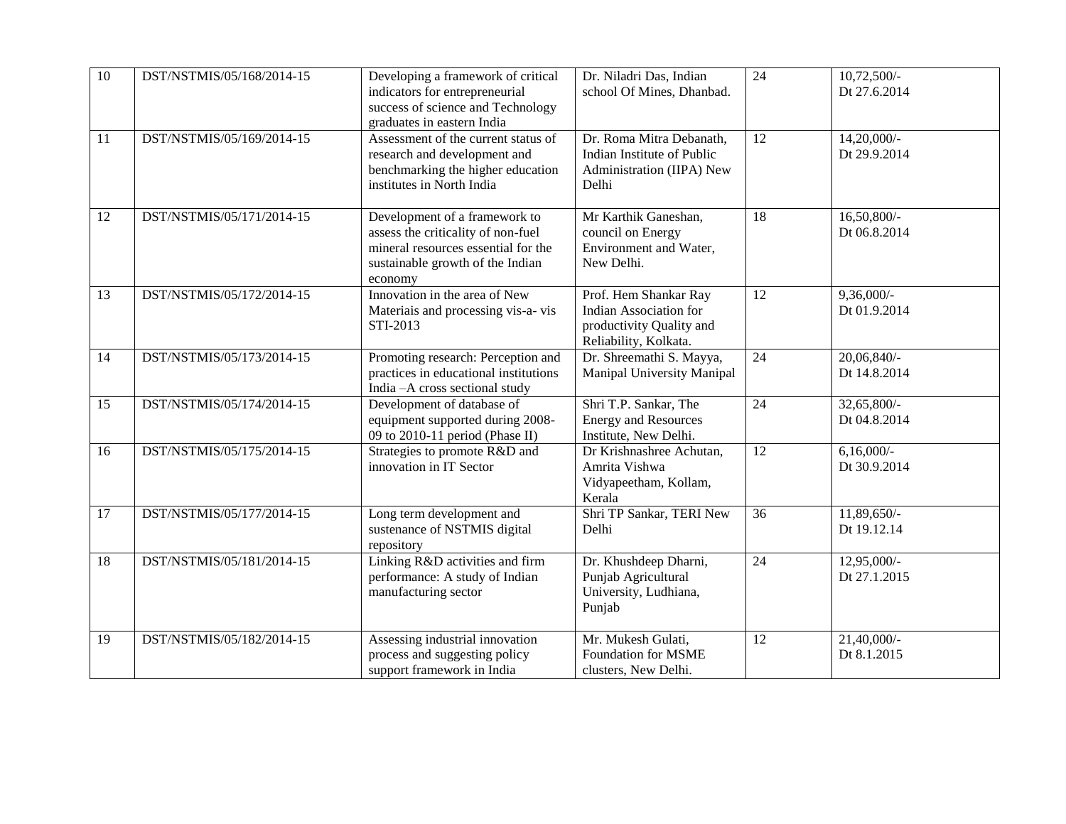| 10 | DST/NSTMIS/05/168/2014-15 | Developing a framework of critical<br>indicators for entrepreneurial<br>success of science and Technology<br>graduates in eastern India                   | Dr. Niladri Das, Indian<br>school Of Mines, Dhanbad.                                                 | 24              | $10,72,500/-$<br>Dt 27.6.2014  |
|----|---------------------------|-----------------------------------------------------------------------------------------------------------------------------------------------------------|------------------------------------------------------------------------------------------------------|-----------------|--------------------------------|
| 11 | DST/NSTMIS/05/169/2014-15 | Assessment of the current status of<br>research and development and<br>benchmarking the higher education<br>institutes in North India                     | Dr. Roma Mitra Debanath,<br>Indian Institute of Public<br>Administration (IIPA) New<br>Delhi         | 12              | 14,20,000/-<br>Dt 29.9.2014    |
| 12 | DST/NSTMIS/05/171/2014-15 | Development of a framework to<br>assess the criticality of non-fuel<br>mineral resources essential for the<br>sustainable growth of the Indian<br>economy | Mr Karthik Ganeshan,<br>council on Energy<br>Environment and Water,<br>New Delhi.                    | 18              | $16,50,800/$ -<br>Dt 06.8.2014 |
| 13 | DST/NSTMIS/05/172/2014-15 | Innovation in the area of New<br>Materiais and processing vis-a-vis<br>STI-2013                                                                           | Prof. Hem Shankar Ray<br>Indian Association for<br>productivity Quality and<br>Reliability, Kolkata. | 12              | $9,36,000/$ -<br>Dt 01.9.2014  |
| 14 | DST/NSTMIS/05/173/2014-15 | Promoting research: Perception and<br>practices in educational institutions<br>India - A cross sectional study                                            | Dr. Shreemathi S. Mayya,<br>Manipal University Manipal                                               | $\overline{24}$ | 20,06,840/<br>Dt 14.8.2014     |
| 15 | DST/NSTMIS/05/174/2014-15 | Development of database of<br>equipment supported during 2008-<br>09 to 2010-11 period (Phase II)                                                         | Shri T.P. Sankar, The<br><b>Energy and Resources</b><br>Institute, New Delhi.                        | $\overline{24}$ | $32,65,800/-$<br>Dt 04.8.2014  |
| 16 | DST/NSTMIS/05/175/2014-15 | Strategies to promote R&D and<br>innovation in IT Sector                                                                                                  | Dr Krishnashree Achutan,<br>Amrita Vishwa<br>Vidyapeetham, Kollam,<br>Kerala                         | 12              | $6,16,000/-$<br>Dt 30.9.2014   |
| 17 | DST/NSTMIS/05/177/2014-15 | Long term development and<br>sustenance of NSTMIS digital<br>repository                                                                                   | Shri TP Sankar, TERI New<br>Delhi                                                                    | 36              | 11,89,650/-<br>Dt 19.12.14     |
| 18 | DST/NSTMIS/05/181/2014-15 | Linking R&D activities and firm<br>performance: A study of Indian<br>manufacturing sector                                                                 | Dr. Khushdeep Dharni,<br>Punjab Agricultural<br>University, Ludhiana,<br>Punjab                      | $\overline{24}$ | 12,95,000/-<br>Dt 27.1.2015    |
| 19 | DST/NSTMIS/05/182/2014-15 | Assessing industrial innovation<br>process and suggesting policy<br>support framework in India                                                            | Mr. Mukesh Gulati,<br><b>Foundation for MSME</b><br>clusters, New Delhi.                             | 12              | 21,40,000/-<br>Dt 8.1.2015     |